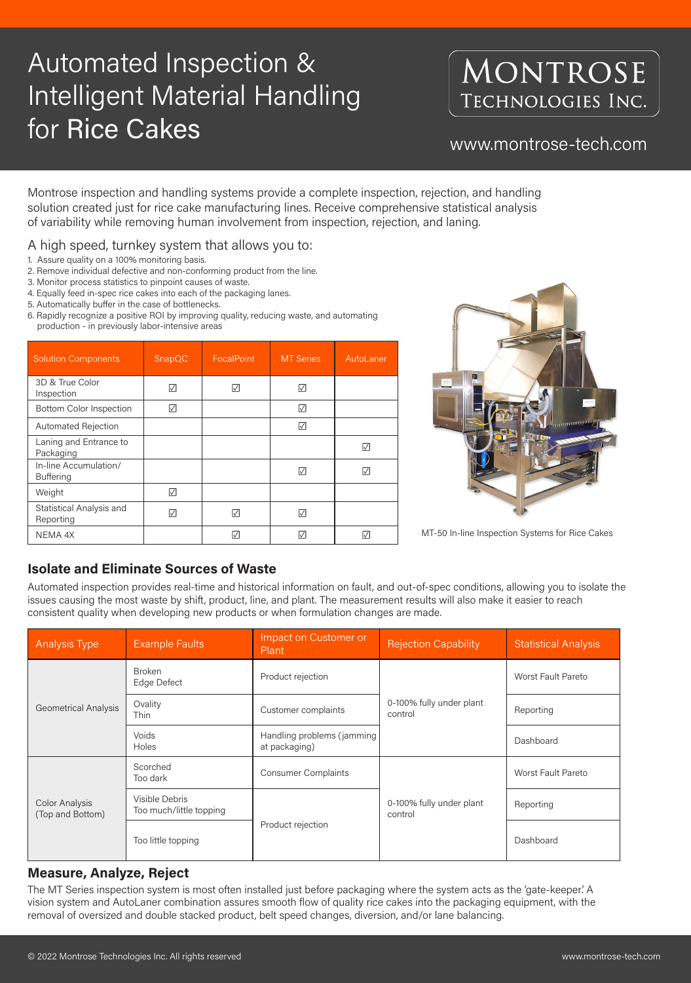# Automated Inspection & Intelligent Material Handling for Rice Cakes **WARCE CARES**

### MONTROSE TECHNOLOGIES INC.

Montrose inspection and handling systems provide a complete inspection, rejection, and handling solution created just for rice cake manufacturing lines. Receive comprehensive statistical analysis of variability while removing human involvement from inspection, rejection, and laning.

- 1. Assure quality on a 100% monitoring basis.
- 2. Remove individual defective and non-conforming product from the line.
- 3. Monitor process statistics to pinpoint causes of waste.
- 4. Equally feed in-spec rice cakes into each of the packaging lanes.
- 5. Automatically buffer in the case of bottlenecks.
- 6. Rapidly recognize a positive ROI by improving quality, reducing waste, and automating production - in previously labor-intensive areas

| <b>Solution Components</b>                | SnapQC    | <b>FocalPoint</b> | <b>MT Series</b> | AutoLaner       |
|-------------------------------------------|-----------|-------------------|------------------|-----------------|
| 3D & True Color<br>Inspection             | $\sqrt{}$ | $  \sqrt  $       | ☑                |                 |
| <b>Bottom Color Inspection</b>            | ☑         |                   | ☑                |                 |
| <b>Automated Rejection</b>                |           |                   | ☑                |                 |
| Laning and Entrance to<br>Packaging       |           |                   |                  | $\triangledown$ |
| In-line Accumulation/<br><b>Buffering</b> |           |                   | ☑                | $\triangledown$ |
| Weight                                    | $\sqrt{}$ |                   |                  |                 |
| Statistical Analysis and<br>Reporting     | $\sqrt{}$ | $\sqrt{}$         | $\sqrt{}$        |                 |
| NEMA 4X                                   |           | M                 |                  |                 |



### **Isolate and Eliminate Sources of Waste**

Automated inspection provides real-time and historical information on fault, and out-of-spec conditions, allowing you to isolate the issues causing the most waste by shift, product, line, and plant. The measurement results will also make it easier to reach consistent quality when developing new products or when formulation changes are made.

| <b>Analysis Type</b>                      | <b>Example Faults</b>                     | Impact on Customer or<br>Plant              | <b>Rejection Capability</b>         | <b>Statistical Analysis</b> |
|-------------------------------------------|-------------------------------------------|---------------------------------------------|-------------------------------------|-----------------------------|
| <b>Geometrical Analysis</b>               | <b>Broken</b><br>Edge Defect              | Product rejection                           |                                     | <b>Worst Fault Pareto</b>   |
|                                           | Ovality<br>Thin                           | Customer complaints                         | 0-100% fully under plant<br>control | Reporting                   |
|                                           | Voids<br>Holes                            | Handling problems (jamming<br>at packaging) |                                     | Dashboard                   |
| <b>Color Analysis</b><br>(Top and Bottom) | Scorched<br>Too dark                      | <b>Consumer Complaints</b>                  | 0-100% fully under plant<br>control | <b>Worst Fault Pareto</b>   |
|                                           | Visible Debris<br>Too much/little topping |                                             |                                     | Reporting                   |
|                                           | Too little topping                        | Product rejection                           |                                     | Dashboard                   |

#### **Measure, Analyze, Reject**

The MT Series inspection system is most often installed just before packaging where the system acts as the 'gate-keeper'. A vision system and AutoLaner combination assures smooth flow of quality rice cakes into the packaging equipment, with the removal of oversized and double stacked product, belt speed changes, diversion, and/or lane balancing.

### A high speed, turnkey system that allows you to:

MT-50 In-line Inspection Systems for Rice Cakes